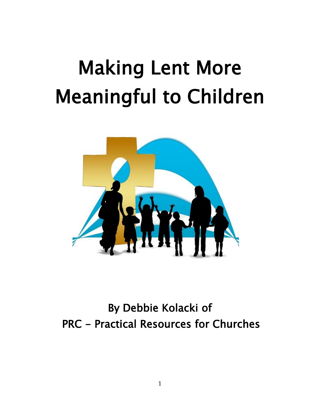# Making Lent More Meaningful to Children



By Debbie Kolacki of PRC - Practical Resources for Churches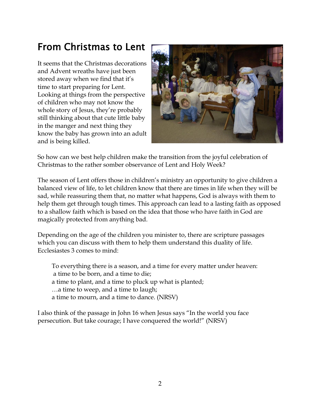# From Christmas to Lent

It seems that the Christmas decorations and Advent wreaths have just been stored away when we find that it's time to start preparing for Lent. Looking at things from the perspective of children who may not know the whole story of Jesus, they're probably still thinking about that cute little baby in the manger and next thing they know the baby has grown into an adult and is being killed.



So how can we best help children make the transition from the joyful celebration of Christmas to the rather somber observance of Lent and Holy Week?

The season of Lent offers those in children's ministry an opportunity to give children a balanced view of life, to let children know that there are times in life when they will be sad, while reassuring them that, no matter what happens, God is always with them to help them get through tough times. This approach can lead to a lasting faith as opposed to a shallow faith which is based on the idea that those who have faith in God are magically protected from anything bad.

Depending on the age of the children you minister to, there are scripture passages which you can discuss with them to help them understand this duality of life. Ecclesiastes 3 comes to mind:

To everything there is a season, and a time for every matter under heaven: a time to be born, and a time to die; a time to plant, and a time to pluck up what is planted; …a time to weep, and a time to laugh; a time to mourn, and a time to dance. (NRSV)

I also think of the passage in John 16 when Jesus says "In the world you face persecution. But take courage; I have conquered the world!" (NRSV)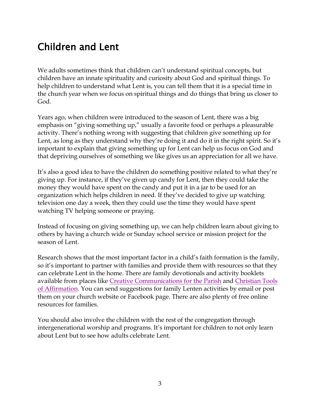# Children and Lent

We adults sometimes think that children can't understand spiritual concepts, but children have an innate spirituality and curiosity about God and spiritual things. To help children to understand what Lent is, you can tell them that it is a special time in the church year when we focus on spiritual things and do things that bring us closer to God.

Years ago, when children were introduced to the season of Lent, there was a big emphasis on "giving something up," usually a favorite food or perhaps a pleasurable activity. There's nothing wrong with suggesting that children give something up for Lent, as long as they understand why they're doing it and do it in the right spirit. So it's important to explain that giving something up for Lent can help us focus on God and that depriving ourselves of something we like gives us an appreciation for all we have.

It's also a good idea to have the children do something positive related to what they're giving up. For instance, if they've given up candy for Lent, then they could take the money they would have spent on the candy and put it in a jar to be used for an organization which helps children in need. If they've decided to give up watching television one day a week, then they could use the time they would have spent watching TV helping someone or praying.

Instead of focusing on giving something up, we can help children learn about giving to others by having a church wide or Sunday school service or mission project for the season of Lent.

Research shows that the most important factor in a child's faith formation is the family, so it's important to partner with families and provide them with resources so that they can celebrate Lent in the home. There are family devotionals and activity booklets available from places like [Creative Communications for the Parish](http://www.creativecommunications.com/AdvancedSearch/Default.aspx?SearchTerm=lent+children) and [Christian Tools](http://www.ctainc.com/category/Shop-By-Event_Easter)  [of Affirmation.](http://www.ctainc.com/category/Shop-By-Event_Easter) You can send suggestions for family Lenten activities by email or post them on your church website or Facebook page. There are also plenty of free online resources for families.

You should also involve the children with the rest of the congregation through intergenerational worship and programs. It's important for children to not only learn about Lent but to see how adults celebrate Lent.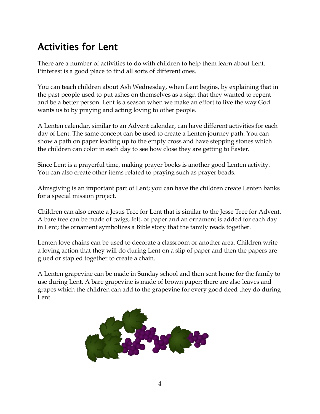# Activities for Lent

There are a number of activities to do with children to help them learn about Lent. Pinterest is a good place to find all sorts of different ones.

You can teach children about Ash Wednesday, when Lent begins, by explaining that in the past people used to put ashes on themselves as a sign that they wanted to repent and be a better person. Lent is a season when we make an effort to live the way God wants us to by praying and acting loving to other people.

A Lenten calendar, similar to an Advent calendar, can have different activities for each day of Lent. The same concept can be used to create a Lenten journey path. You can show a path on paper leading up to the empty cross and have stepping stones which the children can color in each day to see how close they are getting to Easter.

Since Lent is a prayerful time, making prayer books is another good Lenten activity. You can also create other items related to praying such as prayer beads.

Almsgiving is an important part of Lent; you can have the children create Lenten banks for a special mission project.

Children can also create a Jesus Tree for Lent that is similar to the Jesse Tree for Advent. A bare tree can be made of twigs, felt, or paper and an ornament is added for each day in Lent; the ornament symbolizes a Bible story that the family reads together.

Lenten love chains can be used to decorate a classroom or another area. Children write a loving action that they will do during Lent on a slip of paper and then the papers are glued or stapled together to create a chain.

A Lenten grapevine can be made in Sunday school and then sent home for the family to use during Lent. A bare grapevine is made of brown paper; there are also leaves and grapes which the children can add to the grapevine for every good deed they do during Lent.

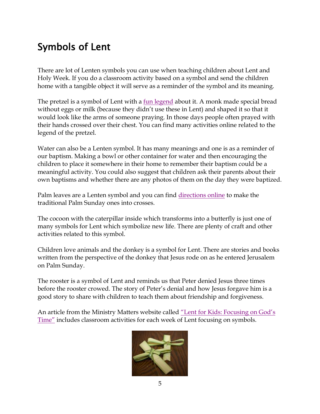# Symbols of Lent

There are lot of Lenten symbols you can use when teaching children about Lent and Holy Week. If you do a classroom activity based on a symbol and send the children home with a tangible object it will serve as a reminder of the symbol and its meaning.

The pretzel is a symbol of Lent with a <u>fun legend</u> about it. A monk made special bread without eggs or milk (because they didn't use these in Lent) and shaped it so that it would look like the arms of someone praying. In those days people often prayed with their hands crossed over their chest. You can find many activities online related to the legend of the pretzel.

Water can also be a Lenten symbol. It has many meanings and one is as a reminder of our baptism. Making a bowl or other container for water and then encouraging the children to place it somewhere in their home to remember their baptism could be a meaningful activity. You could also suggest that children ask their parents about their own baptisms and whether there are any photos of them on the day they were baptized.

Palm leaves are a Lenten symbol and you can find [directions online](http://www.wikihow.com/Make-a-Palm-Frond-Cross) to make the traditional Palm Sunday ones into crosses.

The cocoon with the caterpillar inside which transforms into a butterfly is just one of many symbols for Lent which symbolize new life. There are plenty of craft and other activities related to this symbol.

Children love animals and the donkey is a symbol for Lent. There are stories and books written from the perspective of the donkey that Jesus rode on as he entered Jerusalem on Palm Sunday.

The rooster is a symbol of Lent and reminds us that Peter denied Jesus three times before the rooster crowed. The story of Peter's denial and how Jesus forgave him is a good story to share with children to teach them about friendship and forgiveness.

An article from the Ministry Matters website called ["Lent for Kids: Focusing on God's](http://www.ministrymatters.com/all/entry/2511/lent-for-kids-focusing-on-gods-time)  [Time"](http://www.ministrymatters.com/all/entry/2511/lent-for-kids-focusing-on-gods-time) includes classroom activities for each week of Lent focusing on symbols.

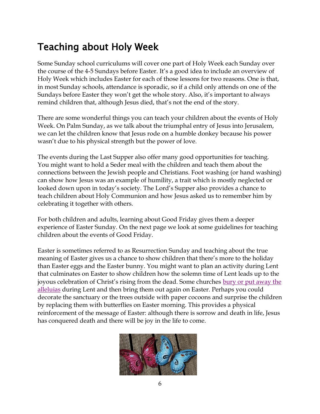# Teaching about Holy Week

Some Sunday school curriculums will cover one part of Holy Week each Sunday over the course of the 4-5 Sundays before Easter. It's a good idea to include an overview of Holy Week which includes Easter for each of those lessons for two reasons. One is that, in most Sunday schools, attendance is sporadic, so if a child only attends on one of the Sundays before Easter they won't get the whole story. Also, it's important to always remind children that, although Jesus died, that's not the end of the story.

There are some wonderful things you can teach your children about the events of Holy Week. On Palm Sunday, as we talk about the triumphal entry of Jesus into Jerusalem, we can let the children know that Jesus rode on a humble donkey because his power wasn't due to his physical strength but the power of love.

The events during the Last Supper also offer many good opportunities for teaching. You might want to hold a Seder meal with the children and teach them about the connections between the Jewish people and Christians. Foot washing (or hand washing) can show how Jesus was an example of humility, a trait which is mostly neglected or looked down upon in today's society. The Lord's Supper also provides a chance to teach children about Holy Communion and how Jesus asked us to remember him by celebrating it together with others.

For both children and adults, learning about Good Friday gives them a deeper experience of Easter Sunday. On the next page we look at some guidelines for teaching children about the events of Good Friday.

Easter is sometimes referred to as Resurrection Sunday and teaching about the true meaning of Easter gives us a chance to show children that there's more to the holiday than Easter eggs and the Easter bunny. You might want to plan an activity during Lent that culminates on Easter to show children how the solemn time of Lent leads up to the joyous celebration of Christ's rising from the dead. Some churches [bury or put away the](http://worshipingwithchildren.blogspot.com/2014/01/burying-alleluia-for-lent.html)  [alleluias](http://worshipingwithchildren.blogspot.com/2014/01/burying-alleluia-for-lent.html) during Lent and then bring them out again on Easter. Perhaps you could decorate the sanctuary or the trees outside with paper cocoons and surprise the children by replacing them with butterflies on Easter morning. This provides a physical reinforcement of the message of Easter: although there is sorrow and death in life, Jesus has conquered death and there will be joy in the life to come.

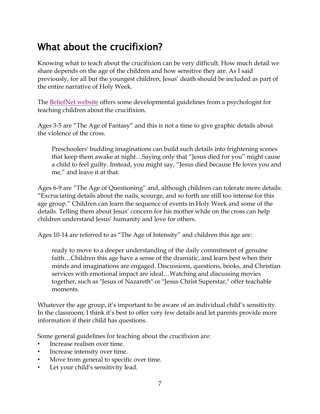### What about the crucifixion?

Knowing what to teach about the crucifixion can be very difficult. How much detail we share depends on the age of the children and how sensitive they are. As I said previously, for all but the youngest children, Jesus' death should be included as part of the entire narrative of Holy Week.

The [BeliefNet website](http://www.beliefnet.com/Faiths/Christianity/2001/04/The-Crucifixions-PG-Rating.aspx?p=1) offers some developmental guidelines from a psychologist for teaching children about the crucifixion.

Ages 3-5 are "The Age of Fantasy" and this is not a time to give graphic details about the violence of the cross.

Preschoolers' budding imaginations can build such details into frightening scenes that keep them awake at night…Saying only that "Jesus died for you" might cause a child to feel guilty. Instead, you might say, "Jesus died because He loves you and me," and leave it at that.

Ages 6-9 are "The Age of Questioning" and, although children can tolerate more details: "Excruciating details about the nails, scourge, and so forth are still too intense for this age group." Children can learn the sequence of events in Holy Week and some of the details. Telling them about Jesus' concern for his mother while on the cross can help children understand Jesus' humanity and love for others.

Ages 10-14 are referred to as "The Age of Intensity" and children this age are:

ready to move to a deeper understanding of the daily commitment of genuine faith…Children this age have a sense of the dramatic, and learn best when their minds and imaginations are engaged. Discussions, questions, books, and Christian services with emotional impact are ideal…Watching and discussing movies together, such as "Jesus of Nazareth" or "Jesus Christ Superstar," offer teachable moments.

Whatever the age group, it's important to be aware of an individual child's sensitivity. In the classroom, I think it's best to offer very few details and let parents provide more information if their child has questions.

Some general guidelines for teaching about the crucifixion are:

- Increase realism over time.
- Increase intensity over time.
- Move from general to specific over time.
- Let your child's sensitivity lead.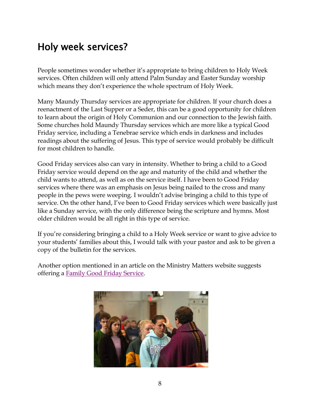#### Holy week services?

People sometimes wonder whether it's appropriate to bring children to Holy Week services. Often children will only attend Palm Sunday and Easter Sunday worship which means they don't experience the whole spectrum of Holy Week.

Many Maundy Thursday services are appropriate for children. If your church does a reenactment of the Last Supper or a Seder, this can be a good opportunity for children to learn about the origin of Holy Communion and our connection to the Jewish faith. Some churches hold Maundy Thursday services which are more like a typical Good Friday service, including a Tenebrae service which ends in darkness and includes readings about the suffering of Jesus. This type of service would probably be difficult for most children to handle.

Good Friday services also can vary in intensity. Whether to bring a child to a Good Friday service would depend on the age and maturity of the child and whether the child wants to attend, as well as on the service itself. I have been to Good Friday services where there was an emphasis on Jesus being nailed to the cross and many people in the pews were weeping. I wouldn't advise bringing a child to this type of service. On the other hand, I've been to Good Friday services which were basically just like a Sunday service, with the only difference being the scripture and hymns. Most older children would be all right in this type of service.

If you're considering bringing a child to a Holy Week service or want to give advice to your students' families about this, I would talk with your pastor and ask to be given a copy of the bulletin for the services.

Another option mentioned in an article on the Ministry Matters website suggests offering a [Family Good Friday Service.](http://www.ministrymatters.com/all/entry/965/good-friday-for-kids)

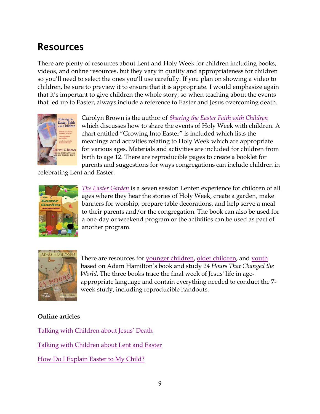#### Resources

There are plenty of resources about Lent and Holy Week for children including books, videos, and online resources, but they vary in quality and appropriateness for children so you'll need to select the ones you'll use carefully. If you plan on showing a video to children, be sure to preview it to ensure that it is appropriate. I would emphasize again that it's important to give children the whole story, so when teaching about the events that led up to Easter, always include a reference to Easter and Jesus overcoming death.



Carolyn Brown is the author of *[Sharing the Easter Faith with Children](http://smile.amazon.com/Sharing-Easter-Faith-Children-Celebrate/dp/0687344247/ref=sr_1_1?ie=UTF8&qid=1420755578&sr=8-1&keywords=sharing+the+easter+faith+with+children)* which discusses how to share the events of Holy Week with children. A chart entitled "Growing Into Easter" is included which lists the meanings and activities relating to Holy Week which are appropriate for various ages. Materials and activities are included for children from birth to age 12. There are reproducible pages to create a booklet for parents and suggestions for ways congregations can include children in

celebrating Lent and Easter.



*[The Easter Garden](http://smile.amazon.com/Easter-Garden-Lenten-Experience-Children/dp/1426742967/ref=sr_1_1?ie=UTF8&qid=1420755726&sr=8-1&keywords=the+easter+garden)* is a seven session Lenten experience for children of all ages where they hear the stories of Holy Week, create a garden, make banners for worship, prepare table decorations, and help serve a meal to their parents and/or the congregation. The book can also be used for a one-day or weekend program or the activities can be used as part of another program.



There are resources for [younger children,](http://smile.amazon.com/Hours-Changed-World-Younger-Children/dp/1426714300/ref=sr_1_1?ie=UTF8&qid=1420755814&sr=8-1&keywords=24+hours+that+changed+the+world+for+younger+children) [older children,](http://smile.amazon.com/Hours-Changed-World-Older-Children/dp/1426714319/ref=sr_1_1?ie=UTF8&qid=1420755883&sr=8-1&keywords=24+hours+that+changed+the+world+for+older+children) and [youth](http://smile.amazon.com/Hours-That-Changed-World-Youth/dp/1426714327/ref=sr_1_1?ie=UTF8&qid=1420755905&sr=8-1&keywords=24+hours+that+changed+the+world+for+youth) based on Adam Hamilton's book and study *24 Hours That Changed the World.* The three books trace the final week of Jesus' life in ageappropriate language and contain everything needed to conduct the 7 week study, including reproducible handouts.

#### **Online articles**

Talking wit[h Children about Jesus' Death](http://thecommunity.anglican.ca/children/5919/talking-with-children-about-jesus-death/) [Talking with Children about Lent and Easter](https://www.pcusa.org/site_media/media/uploads/curriculum/pdf/ideas/kidslent.pdf) [How Do I Explain Easter to My Child?](http://www.ministrymatters.com/all/entry/2634/how-do-i-explain-easter-to-my-child)